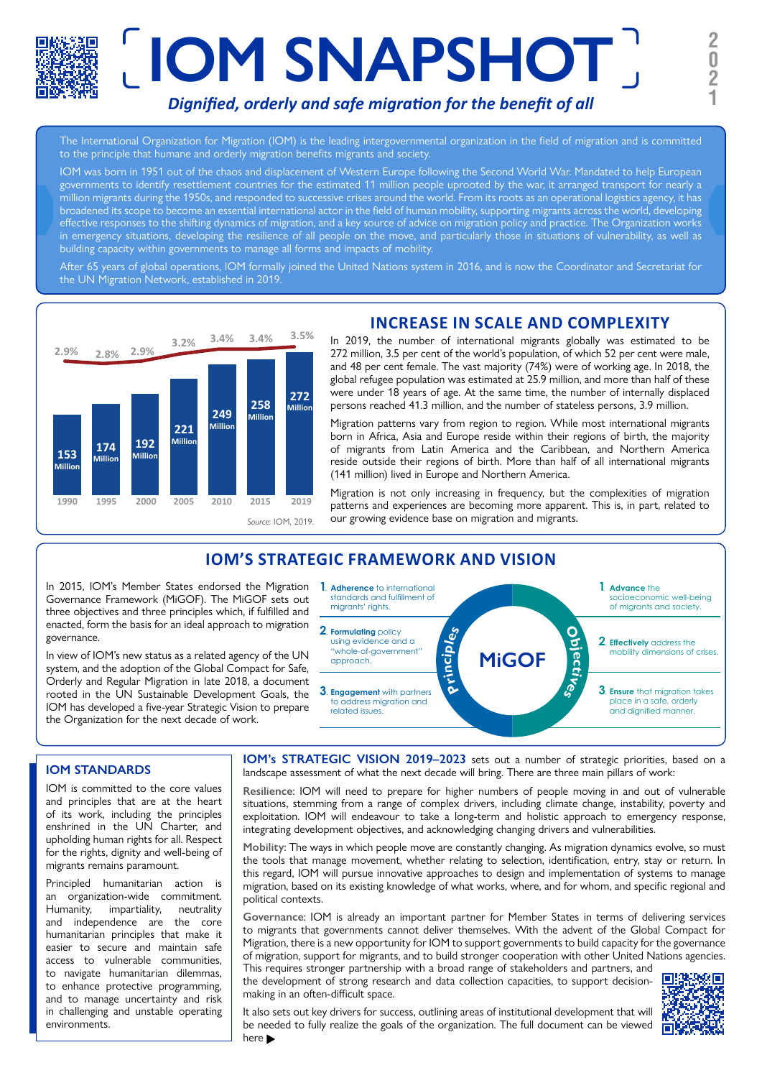# **IOM SNAPSHOT <sup>2</sup>** *Dignified, orderly and safe migration for the benefit of all*

The International Organization for Migration (IOM) is the leading intergovernmental organization in the field of migration and is committed to the principle that humane and orderly migration benefits migrants and society.

IOM was born in 1951 out of the chaos and displacement of Western Europe following the Second World War. Mandated to help European governments to identify resettlement countries for the estimated 11 million people uprooted by the war, it arranged transport for nearly a million migrants during the 1950s, and responded to successive crises around the world. From its roots as an operational logistics agency, it has broadened its scope to become an essential international actor in the field of human mobility, supporting migrants across the world, developing effective responses to the shifting dynamics of migration, and a key source of advice on migration policy and practice. The Organization works in emergency situations, developing the resilience of all people on the move, and particularly those in situations of vulnerability, as well as building capacity within governments to manage all forms and impacts of mobility.

After 65 years of global operations, IOM formally joined the United Nations system in 2016, and is now the Coordinator and Secretariat for the UN Migration Network, established in 2019.



# **INCREASE IN SCALE AND COMPLEXITY**

In 2019, the number of international migrants globally was estimated to be 272 million, 3.5 per cent of the world's population, of which 52 per cent were male, and 48 per cent female. The vast majority (74%) were of working age. In 2018, the global refugee population was estimated at 25.9 million, and more than half of these were under 18 years of age. At the same time, the number of internally displaced persons reached 41.3 million, and the number of stateless persons, 3.9 million.

Migration patterns vary from region to region. While most international migrants born in Africa, Asia and Europe reside within their regions of birth, the majority of migrants from Latin America and the Caribbean, and Northern America reside outside their regions of birth. More than half of all international migrants (141 million) lived in Europe and Northern America.

Migration is not only increasing in frequency, but the complexities of migration patterns and experiences are becoming more apparent. This is, in part, related to our growing evidence base on migration and migrants.

## **IOM'S STRATEGIC FRAMEWORK AND VISION**

In 2015, IOM's Member States endorsed the Migration Governance Framework (MiGOF). The MiGOF sets out three objectives and three principles which, if fulfilled and enacted, form the basis for an ideal approach to migration governance.

In view of IOM's new status as a related agency of the UN system, and the adoption of the Global Compact for Safe, Orderly and Regular Migration in late 2018, a document rooted in the UN Sustainable Development Goals, the IOM has developed a five-year Strategic Vision to prepare the Organization for the next decade of work.



#### **IOM STANDARDS**

IOM is committed to the core values and principles that are at the heart of its work, including the principles enshrined in the UN Charter, and upholding human rights for all. Respect for the rights, dignity and well-being of migrants remains paramount.

Principled humanitarian action is an organization-wide commitment. Humanity, impartiality, neutrality and independence are the core humanitarian principles that make it easier to secure and maintain safe access to vulnerable communities, to navigate humanitarian dilemmas, to enhance protective programming, and to manage uncertainty and risk in challenging and unstable operating environments.

**IOM's STRATEGIC VISION 2019-2023** sets out a number of strategic priorities, based on a landscape assessment of what the next decade will bring. There are three main pillars of work:

**Resilience**: IOM will need to prepare for higher numbers of people moving in and out of vulnerable situations, stemming from a range of complex drivers, including climate change, instability, poverty and exploitation. IOM will endeavour to take a long-term and holistic approach to emergency response, integrating development objectives, and acknowledging changing drivers and vulnerabilities.

**Mobility**: The ways in which people move are constantly changing. As migration dynamics evolve, so must the tools that manage movement, whether relating to selection, identification, entry, stay or return. In this regard, IOM will pursue innovative approaches to design and implementation of systems to manage migration, based on its existing knowledge of what works, where, and for whom, and specific regional and political contexts.

**Governance**: IOM is already an important partner for Member States in terms of delivering services to migrants that governments cannot deliver themselves. With the advent of the Global Compact for Migration, there is a new opportunity for IOM to support governments to build capacity for the governance of migration, support for migrants, and to build stronger cooperation with other United Nations agencies.

This requires stronger partnership with a broad range of stakeholders and partners, and the development of strong research and data collection capacities, to support decisionmaking in an often-difficult space.



It also sets out key drivers for success, outlining areas of institutional development that will be needed to fully realize the goals of the organization. The full document can be viewed here  $\blacktriangleright$